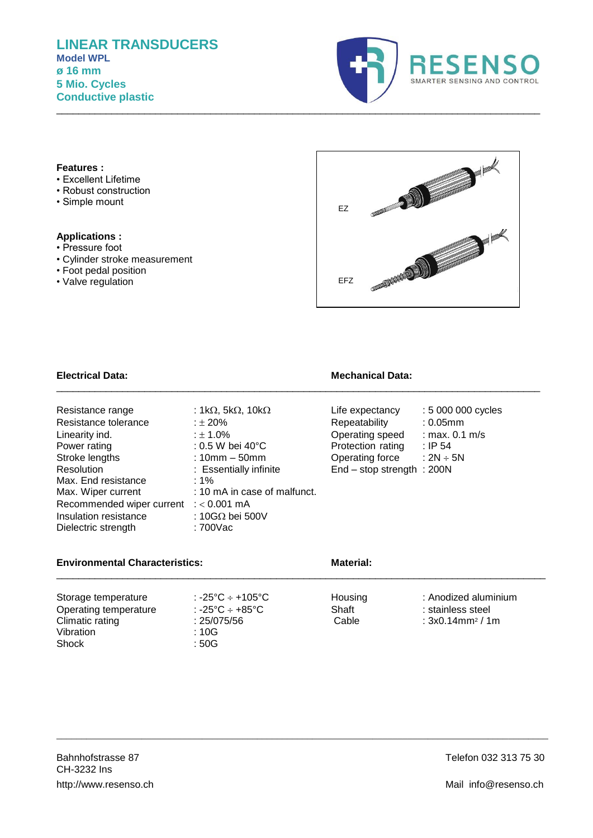

## **Features :**

- Excellent Lifetime
- Robust construction
- Simple mount

### **Applications :**

- Pressure foot
- Cylinder stroke measurement
- Foot pedal position
- Valve regulation



| : 1k $\Omega$ , 5k $\Omega$ , 10k $\Omega$ | Life expectancy   | : 5 000 000 cycles           |
|--------------------------------------------|-------------------|------------------------------|
| : $\pm 20\%$                               | Repeatability     | $: 0.05$ mm                  |
| : $\pm$ 1.0%                               | Operating speed   | : max. $0.1$ m/s             |
| $: 0.5$ W bei 40 $^{\circ}$ C              | Protection rating | $:$ IP 54                    |
| : $10mm - 50mm$                            | Operating force   | : $2N \div 5N$               |
| : Essentially infinite                     |                   |                              |
| :1%                                        |                   |                              |
| : 10 mA in case of malfunct.               |                   |                              |
| Recommended wiper current : < 0.001 mA     |                   |                              |
| : 10G $\Omega$ bei 500V                    |                   |                              |
| : 700Vac                                   |                   |                              |
|                                            |                   | $End - stop strength : 200N$ |

# **Electrical Data: Mechanical Data:**

| Life expectancy              | : 5 000 000 cycles |
|------------------------------|--------------------|
| Repeatability                | $: 0.05$ mm        |
| Operating speed              | : max. $0.1$ m/s   |
| Protection rating            | : IP $54$          |
| Operating force              | : 2N $\div$ 5N     |
| $End - stop strength : 200N$ |                    |
|                              |                    |

# **Environmental Characteristics: Material: Material:**

#### Storage temperature : -25°C ÷ +105°C<br>
Operating temperature : -25°C ÷ +85°C + Shaft : stainless steel Operating temperature : -25°C ÷ +85°C Shaft : stainless steel<br>Climatic rating : 25/075/56 Cable : 3x0.14mm<sup>2</sup>/1 Climatic rating : 25/0<br>Vibration : 10G.  $: 3x0.14$ mm<sup>2</sup> / 1m Vibration : 10G<br>Shock : 50G Shock

\_\_\_\_\_\_\_\_\_\_\_\_\_\_\_\_\_\_\_\_\_\_\_\_\_\_\_\_\_\_\_\_\_\_\_\_\_\_\_\_\_\_\_\_\_\_\_\_\_\_\_\_\_\_\_\_\_\_\_\_\_\_\_\_\_\_\_\_\_\_\_\_\_\_\_\_\_\_\_\_\_\_\_\_\_\_\_\_\_\_\_\_\_\_\_\_\_\_

\_\_\_\_\_\_\_\_\_\_\_\_\_\_\_\_\_\_\_\_\_\_\_\_\_\_\_\_\_\_\_\_\_\_\_\_\_\_\_\_\_\_\_\_\_\_\_\_\_\_\_\_\_\_\_\_\_\_\_\_\_\_\_\_\_\_\_\_\_\_\_\_\_\_\_\_\_\_\_\_\_\_\_\_\_\_\_\_\_

\_\_\_\_\_\_\_\_\_\_\_\_\_\_\_\_\_\_\_\_\_\_\_\_\_\_\_\_\_\_\_\_\_\_\_\_\_\_\_\_\_\_\_\_\_\_\_\_\_\_\_\_\_\_\_\_\_\_\_\_\_\_\_\_\_\_\_\_\_\_\_\_\_\_\_\_\_\_\_\_\_\_\_\_\_\_\_\_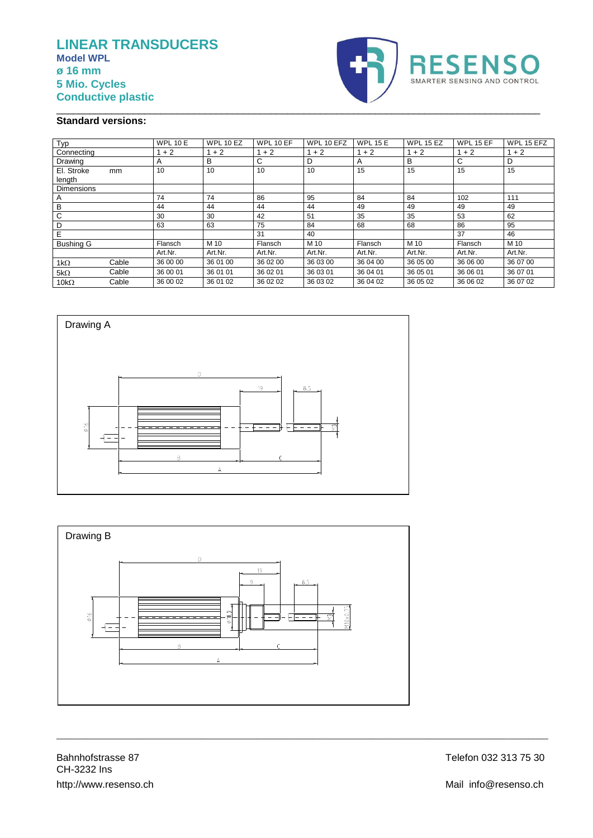# **LINEAR TRANSDUCERS Model WPL ø 16 mm 5 Mio. Cycles Conductive plastic**



# **Standard versions:**

| Typ                  |       | <b>WPL 10 E</b> | <b>WPL 10 EZ</b> | WPL 10 EF | WPL 10 EFZ | <b>WPL 15 E</b> | <b>WPL 15 EZ</b> | <b>WPL 15 EF</b> | WPL 15 EFZ |
|----------------------|-------|-----------------|------------------|-----------|------------|-----------------|------------------|------------------|------------|
| Connecting           |       | $+2$            | $1 + 2$          | $1 + 2$   | $1 + 2$    | $1 + 2$         | $1 + 2$          | $1 + 2$          | $1 + 2$    |
| Drawing              |       | Α               | В                | С         | D          | Α               | В                | C                | D          |
| El. Stroke<br>length | mm    | 10              | 10               | 10        | 10         | 15              | 15               | 15               | 15         |
| <b>Dimensions</b>    |       |                 |                  |           |            |                 |                  |                  |            |
| A                    |       | 74              | 74               | 86        | 95         | 84              | 84               | 102              | 111        |
| B                    |       | 44              | 44               | 44        | 44         | 49              | 49               | 49               | 49         |
| C                    |       | 30              | 30               | 42        | 51         | 35              | 35               | 53               | 62         |
| D                    |       | 63              | 63               | 75        | 84         | 68              | 68               | 86               | 95         |
| Е                    |       |                 |                  | 31        | 40         |                 |                  | 37               | 46         |
| <b>Bushing G</b>     |       | Flansch         | M 10             | Flansch   | M 10       | Flansch         | M 10             | Flansch          | M 10       |
|                      |       | Art.Nr.         | Art.Nr.          | Art.Nr.   | Art.Nr.    | Art.Nr.         | Art.Nr.          | Art.Nr.          | Art.Nr.    |
| $1k\Omega$           | Cable | 36 00 00        | 36 01 00         | 36 02 00  | 36 03 00   | 36 04 00        | 36 05 00         | 36 06 00         | 36 07 00   |
| $5k\Omega$           | Cable | 36 00 01        | 36 01 01         | 36 02 01  | 36 03 01   | 36 04 01        | 36 05 01         | 36 06 01         | 36 07 01   |
| 10 $k\Omega$         | Cable | 36 00 02        | 36 01 02         | 36 02 02  | 36 03 02   | 36 04 02        | 36 05 02         | 36 06 02         | 36 07 02   |

\_\_\_\_\_\_\_\_\_\_\_\_\_\_\_\_\_\_\_\_\_\_\_\_\_\_\_\_\_\_\_\_\_\_\_\_\_\_\_\_\_\_\_\_\_\_\_\_\_\_\_\_\_\_\_\_\_\_\_\_\_\_\_\_\_\_\_\_\_\_\_\_\_\_\_\_\_\_\_\_\_\_\_\_\_\_\_\_





\_\_\_\_\_\_\_\_\_\_\_\_\_\_\_\_\_\_\_\_\_\_\_\_\_\_\_\_\_\_\_\_\_\_\_\_\_\_\_\_\_\_\_\_\_\_\_\_\_\_\_\_\_\_\_\_\_\_\_\_\_\_\_\_\_\_\_\_\_\_\_\_\_\_\_\_\_\_\_\_\_\_\_\_\_\_\_\_\_\_\_\_\_\_\_\_\_\_

Bahnhofstrasse 87 Telefon 032 313 75 30 CH-3232 Ins http://www.resenso.ch Mail info@resenso.ch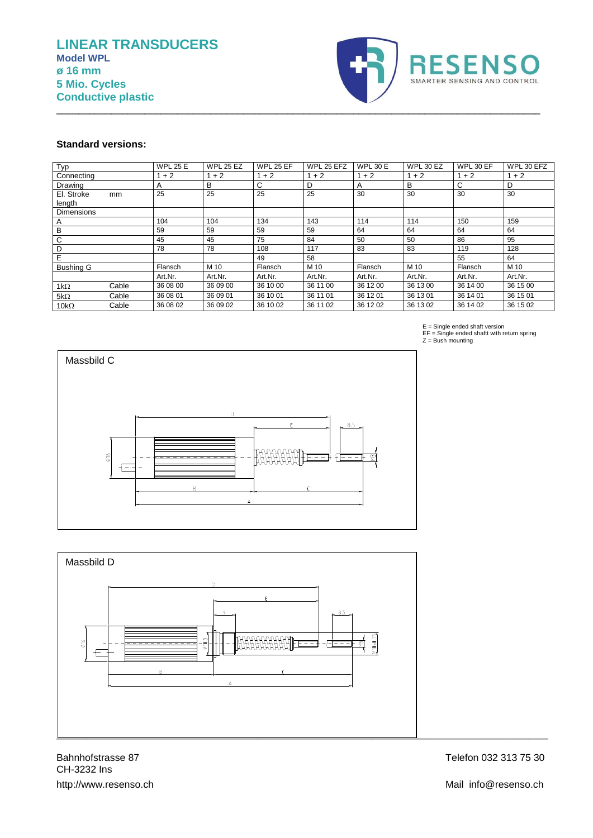

#### **Standard versions:**

| Typ               |       | <b>WPL 25 E</b> | <b>WPL 25 EZ</b> | <b>WPL 25 EF</b> | WPL 25 EFZ | <b>WPL 30 E</b> | <b>WPL 30 EZ</b> | WPL 30 EF | WPL 30 EFZ |
|-------------------|-------|-----------------|------------------|------------------|------------|-----------------|------------------|-----------|------------|
| Connecting        |       | $+2$            | $1 + 2$          | $1 + 2$          | $1 + 2$    | $1 + 2$         | $1 + 2$          | $1 + 2$   | $1 + 2$    |
| Drawing           |       | A               | в                | C                | D          | A               | B                | C         | D          |
| El. Stroke        | mm    | 25              | 25               | 25               | 25         | 30              | 30               | 30        | 30         |
| length            |       |                 |                  |                  |            |                 |                  |           |            |
| <b>Dimensions</b> |       |                 |                  |                  |            |                 |                  |           |            |
| A                 |       | 104             | 104              | 134              | 143        | 114             | 114              | 150       | 159        |
| B                 |       | 59              | 59               | 59               | 59         | 64              | 64               | 64        | 64         |
| C                 |       | 45              | 45               | 75               | 84         | 50              | 50               | 86        | 95         |
| D                 |       | 78              | 78               | 108              | 117        | 83              | 83               | 119       | 128        |
| Ε                 |       |                 |                  | 49               | 58         |                 |                  | 55        | 64         |
| <b>Bushing G</b>  |       | Flansch         | M 10             | Flansch          | M 10       | Flansch         | M 10             | Flansch   | M 10       |
|                   |       | Art.Nr.         | Art.Nr.          | Art.Nr.          | Art.Nr.    | Art.Nr.         | Art.Nr.          | Art.Nr.   | Art.Nr.    |
| 1k $\Omega$       | Cable | 36 08 00        | 36 09 00         | 36 10 00         | 36 11 00   | 36 12 00        | 36 13 00         | 36 14 00  | 36 15 00   |
| $5k\Omega$        | Cable | 36 08 01        | 36 09 01         | 36 10 01         | 36 11 01   | 36 12 01        | 36 13 01         | 36 14 01  | 36 15 01   |
| $10k\Omega$       | Cable | 36 08 02        | 36 09 02         | 36 10 02         | 36 11 02   | 36 12 02        | 36 13 02         | 36 14 02  | 36 15 02   |

\_\_\_\_\_\_\_\_\_\_\_\_\_\_\_\_\_\_\_\_\_\_\_\_\_\_\_\_\_\_\_\_\_\_\_\_\_\_\_\_\_\_\_\_\_\_\_\_\_\_\_\_\_\_\_\_\_\_\_\_\_\_\_\_\_\_\_\_\_\_\_\_\_\_\_\_\_\_\_\_\_\_\_\_\_\_\_\_





CH-3232 Ins http://www.resenso.ch Mail info@resenso.ch Bahnhofstrasse 87

Telefon 032 313 75 30